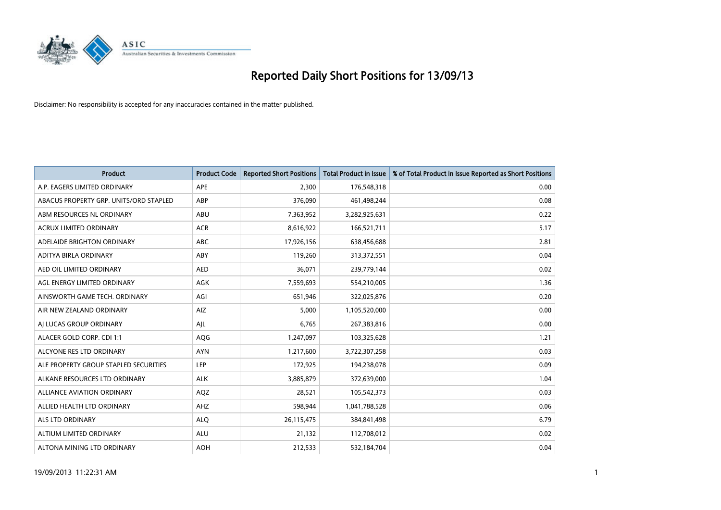

| <b>Product</b>                         | <b>Product Code</b> | <b>Reported Short Positions</b> | <b>Total Product in Issue</b> | % of Total Product in Issue Reported as Short Positions |
|----------------------------------------|---------------------|---------------------------------|-------------------------------|---------------------------------------------------------|
| A.P. EAGERS LIMITED ORDINARY           | APE                 | 2,300                           | 176,548,318                   | 0.00                                                    |
| ABACUS PROPERTY GRP. UNITS/ORD STAPLED | ABP                 | 376,090                         | 461,498,244                   | 0.08                                                    |
| ABM RESOURCES NL ORDINARY              | ABU                 | 7,363,952                       | 3,282,925,631                 | 0.22                                                    |
| ACRUX LIMITED ORDINARY                 | <b>ACR</b>          | 8,616,922                       | 166,521,711                   | 5.17                                                    |
| ADELAIDE BRIGHTON ORDINARY             | <b>ABC</b>          | 17,926,156                      | 638,456,688                   | 2.81                                                    |
| ADITYA BIRLA ORDINARY                  | ABY                 | 119,260                         | 313,372,551                   | 0.04                                                    |
| AED OIL LIMITED ORDINARY               | <b>AED</b>          | 36,071                          | 239,779,144                   | 0.02                                                    |
| AGL ENERGY LIMITED ORDINARY            | AGK                 | 7,559,693                       | 554,210,005                   | 1.36                                                    |
| AINSWORTH GAME TECH. ORDINARY          | AGI                 | 651,946                         | 322,025,876                   | 0.20                                                    |
| AIR NEW ZEALAND ORDINARY               | <b>AIZ</b>          | 5,000                           | 1,105,520,000                 | 0.00                                                    |
| AI LUCAS GROUP ORDINARY                | AJL                 | 6,765                           | 267,383,816                   | 0.00                                                    |
| ALACER GOLD CORP. CDI 1:1              | AQG                 | 1,247,097                       | 103,325,628                   | 1.21                                                    |
| ALCYONE RES LTD ORDINARY               | <b>AYN</b>          | 1,217,600                       | 3,722,307,258                 | 0.03                                                    |
| ALE PROPERTY GROUP STAPLED SECURITIES  | LEP                 | 172,925                         | 194,238,078                   | 0.09                                                    |
| ALKANE RESOURCES LTD ORDINARY          | <b>ALK</b>          | 3,885,879                       | 372,639,000                   | 1.04                                                    |
| ALLIANCE AVIATION ORDINARY             | AQZ                 | 28,521                          | 105,542,373                   | 0.03                                                    |
| ALLIED HEALTH LTD ORDINARY             | AHZ                 | 598,944                         | 1,041,788,528                 | 0.06                                                    |
| <b>ALS LTD ORDINARY</b>                | <b>ALQ</b>          | 26,115,475                      | 384,841,498                   | 6.79                                                    |
| ALTIUM LIMITED ORDINARY                | <b>ALU</b>          | 21,132                          | 112,708,012                   | 0.02                                                    |
| ALTONA MINING LTD ORDINARY             | <b>AOH</b>          | 212,533                         | 532,184,704                   | 0.04                                                    |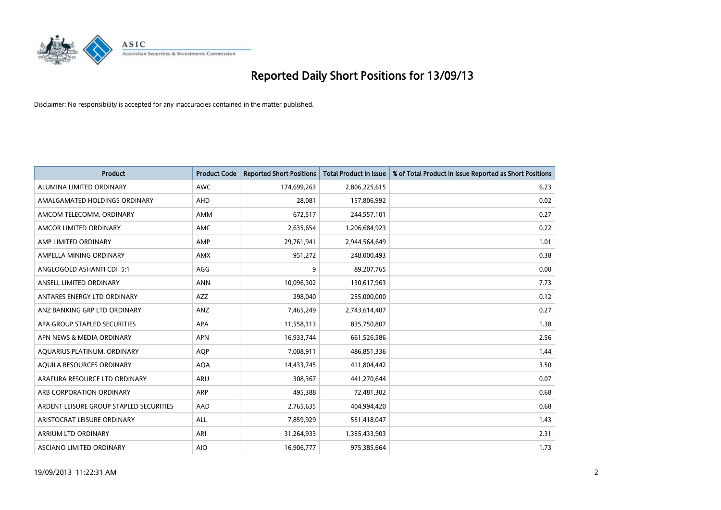

| <b>Product</b>                          | <b>Product Code</b> | <b>Reported Short Positions</b> | <b>Total Product in Issue</b> | % of Total Product in Issue Reported as Short Positions |
|-----------------------------------------|---------------------|---------------------------------|-------------------------------|---------------------------------------------------------|
| ALUMINA LIMITED ORDINARY                | <b>AWC</b>          | 174,699,263                     | 2,806,225,615                 | 6.23                                                    |
| AMALGAMATED HOLDINGS ORDINARY           | <b>AHD</b>          | 28,081                          | 157,806,992                   | 0.02                                                    |
| AMCOM TELECOMM. ORDINARY                | AMM                 | 672,517                         | 244,557,101                   | 0.27                                                    |
| AMCOR LIMITED ORDINARY                  | AMC                 | 2,635,654                       | 1,206,684,923                 | 0.22                                                    |
| AMP LIMITED ORDINARY                    | AMP                 | 29,761,941                      | 2,944,564,649                 | 1.01                                                    |
| AMPELLA MINING ORDINARY                 | AMX                 | 951,272                         | 248,000,493                   | 0.38                                                    |
| ANGLOGOLD ASHANTI CDI 5:1               | AGG                 | 9                               | 89,207,765                    | 0.00                                                    |
| ANSELL LIMITED ORDINARY                 | <b>ANN</b>          | 10,096,302                      | 130,617,963                   | 7.73                                                    |
| ANTARES ENERGY LTD ORDINARY             | <b>AZZ</b>          | 298,040                         | 255,000,000                   | 0.12                                                    |
| ANZ BANKING GRP LTD ORDINARY            | ANZ                 | 7,465,249                       | 2,743,614,407                 | 0.27                                                    |
| APA GROUP STAPLED SECURITIES            | APA                 | 11,558,113                      | 835,750,807                   | 1.38                                                    |
| APN NEWS & MEDIA ORDINARY               | <b>APN</b>          | 16,933,744                      | 661,526,586                   | 2.56                                                    |
| AQUARIUS PLATINUM. ORDINARY             | <b>AOP</b>          | 7,008,911                       | 486,851,336                   | 1.44                                                    |
| AOUILA RESOURCES ORDINARY               | <b>AQA</b>          | 14,433,745                      | 411,804,442                   | 3.50                                                    |
| ARAFURA RESOURCE LTD ORDINARY           | ARU                 | 308,367                         | 441,270,644                   | 0.07                                                    |
| ARB CORPORATION ORDINARY                | ARP                 | 495,388                         | 72,481,302                    | 0.68                                                    |
| ARDENT LEISURE GROUP STAPLED SECURITIES | AAD                 | 2,765,635                       | 404,994,420                   | 0.68                                                    |
| ARISTOCRAT LEISURE ORDINARY             | ALL                 | 7,859,929                       | 551,418,047                   | 1.43                                                    |
| ARRIUM LTD ORDINARY                     | ARI                 | 31,264,933                      | 1,355,433,903                 | 2.31                                                    |
| ASCIANO LIMITED ORDINARY                | <b>AIO</b>          | 16,906,777                      | 975,385,664                   | 1.73                                                    |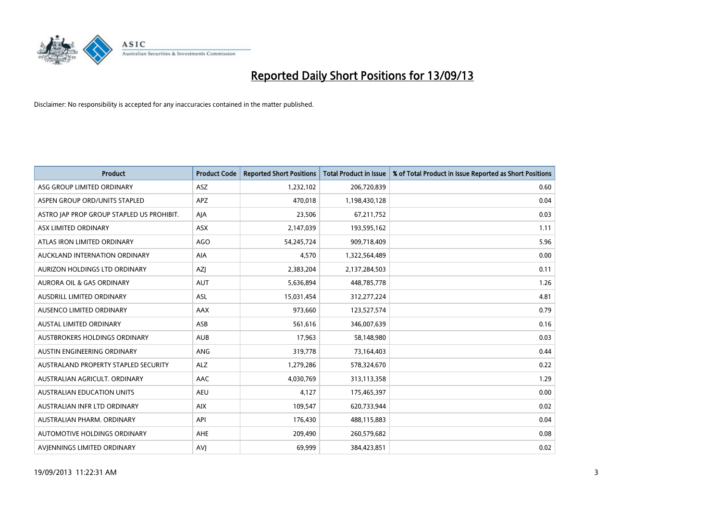

| <b>Product</b>                            | <b>Product Code</b> | <b>Reported Short Positions</b> | <b>Total Product in Issue</b> | % of Total Product in Issue Reported as Short Positions |
|-------------------------------------------|---------------------|---------------------------------|-------------------------------|---------------------------------------------------------|
| ASG GROUP LIMITED ORDINARY                | ASZ                 | 1,232,102                       | 206,720,839                   | 0.60                                                    |
| ASPEN GROUP ORD/UNITS STAPLED             | <b>APZ</b>          | 470,018                         | 1,198,430,128                 | 0.04                                                    |
| ASTRO JAP PROP GROUP STAPLED US PROHIBIT. | AJA                 | 23,506                          | 67,211,752                    | 0.03                                                    |
| ASX LIMITED ORDINARY                      | ASX                 | 2,147,039                       | 193,595,162                   | 1.11                                                    |
| ATLAS IRON LIMITED ORDINARY               | <b>AGO</b>          | 54,245,724                      | 909,718,409                   | 5.96                                                    |
| AUCKLAND INTERNATION ORDINARY             | AIA                 | 4,570                           | 1,322,564,489                 | 0.00                                                    |
| AURIZON HOLDINGS LTD ORDINARY             | AZJ                 | 2,383,204                       | 2,137,284,503                 | 0.11                                                    |
| AURORA OIL & GAS ORDINARY                 | AUT                 | 5,636,894                       | 448,785,778                   | 1.26                                                    |
| AUSDRILL LIMITED ORDINARY                 | <b>ASL</b>          | 15,031,454                      | 312,277,224                   | 4.81                                                    |
| AUSENCO LIMITED ORDINARY                  | <b>AAX</b>          | 973,660                         | 123,527,574                   | 0.79                                                    |
| AUSTAL LIMITED ORDINARY                   | ASB                 | 561,616                         | 346,007,639                   | 0.16                                                    |
| AUSTBROKERS HOLDINGS ORDINARY             | <b>AUB</b>          | 17,963                          | 58,148,980                    | 0.03                                                    |
| AUSTIN ENGINEERING ORDINARY               | <b>ANG</b>          | 319,778                         | 73,164,403                    | 0.44                                                    |
| AUSTRALAND PROPERTY STAPLED SECURITY      | <b>ALZ</b>          | 1,279,286                       | 578,324,670                   | 0.22                                                    |
| AUSTRALIAN AGRICULT, ORDINARY             | AAC                 | 4,030,769                       | 313,113,358                   | 1.29                                                    |
| AUSTRALIAN EDUCATION UNITS                | <b>AEU</b>          | 4,127                           | 175,465,397                   | 0.00                                                    |
| AUSTRALIAN INFR LTD ORDINARY              | <b>AIX</b>          | 109,547                         | 620,733,944                   | 0.02                                                    |
| AUSTRALIAN PHARM, ORDINARY                | API                 | 176,430                         | 488,115,883                   | 0.04                                                    |
| AUTOMOTIVE HOLDINGS ORDINARY              | <b>AHE</b>          | 209,490                         | 260,579,682                   | 0.08                                                    |
| AVJENNINGS LIMITED ORDINARY               | <b>AVJ</b>          | 69,999                          | 384,423,851                   | 0.02                                                    |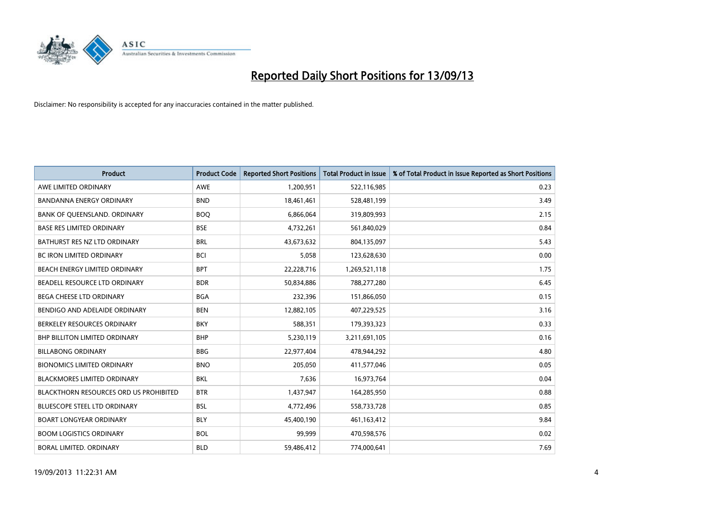

| <b>Product</b>                                | <b>Product Code</b> | <b>Reported Short Positions</b> | <b>Total Product in Issue</b> | % of Total Product in Issue Reported as Short Positions |
|-----------------------------------------------|---------------------|---------------------------------|-------------------------------|---------------------------------------------------------|
| AWE LIMITED ORDINARY                          | <b>AWE</b>          | 1,200,951                       | 522,116,985                   | 0.23                                                    |
| <b>BANDANNA ENERGY ORDINARY</b>               | <b>BND</b>          | 18,461,461                      | 528,481,199                   | 3.49                                                    |
| BANK OF QUEENSLAND. ORDINARY                  | <b>BOQ</b>          | 6,866,064                       | 319,809,993                   | 2.15                                                    |
| <b>BASE RES LIMITED ORDINARY</b>              | <b>BSE</b>          | 4,732,261                       | 561,840,029                   | 0.84                                                    |
| BATHURST RES NZ LTD ORDINARY                  | <b>BRL</b>          | 43,673,632                      | 804,135,097                   | 5.43                                                    |
| <b>BC IRON LIMITED ORDINARY</b>               | <b>BCI</b>          | 5,058                           | 123,628,630                   | 0.00                                                    |
| BEACH ENERGY LIMITED ORDINARY                 | <b>BPT</b>          | 22,228,716                      | 1,269,521,118                 | 1.75                                                    |
| BEADELL RESOURCE LTD ORDINARY                 | <b>BDR</b>          | 50,834,886                      | 788,277,280                   | 6.45                                                    |
| BEGA CHEESE LTD ORDINARY                      | <b>BGA</b>          | 232,396                         | 151,866,050                   | 0.15                                                    |
| BENDIGO AND ADELAIDE ORDINARY                 | <b>BEN</b>          | 12,882,105                      | 407,229,525                   | 3.16                                                    |
| BERKELEY RESOURCES ORDINARY                   | <b>BKY</b>          | 588,351                         | 179,393,323                   | 0.33                                                    |
| <b>BHP BILLITON LIMITED ORDINARY</b>          | <b>BHP</b>          | 5,230,119                       | 3,211,691,105                 | 0.16                                                    |
| <b>BILLABONG ORDINARY</b>                     | <b>BBG</b>          | 22,977,404                      | 478,944,292                   | 4.80                                                    |
| <b>BIONOMICS LIMITED ORDINARY</b>             | <b>BNO</b>          | 205.050                         | 411,577,046                   | 0.05                                                    |
| <b>BLACKMORES LIMITED ORDINARY</b>            | <b>BKL</b>          | 7,636                           | 16,973,764                    | 0.04                                                    |
| <b>BLACKTHORN RESOURCES ORD US PROHIBITED</b> | <b>BTR</b>          | 1,437,947                       | 164,285,950                   | 0.88                                                    |
| <b>BLUESCOPE STEEL LTD ORDINARY</b>           | <b>BSL</b>          | 4,772,496                       | 558,733,728                   | 0.85                                                    |
| <b>BOART LONGYEAR ORDINARY</b>                | <b>BLY</b>          | 45,400,190                      | 461,163,412                   | 9.84                                                    |
| <b>BOOM LOGISTICS ORDINARY</b>                | <b>BOL</b>          | 99.999                          | 470,598,576                   | 0.02                                                    |
| <b>BORAL LIMITED, ORDINARY</b>                | <b>BLD</b>          | 59,486,412                      | 774,000,641                   | 7.69                                                    |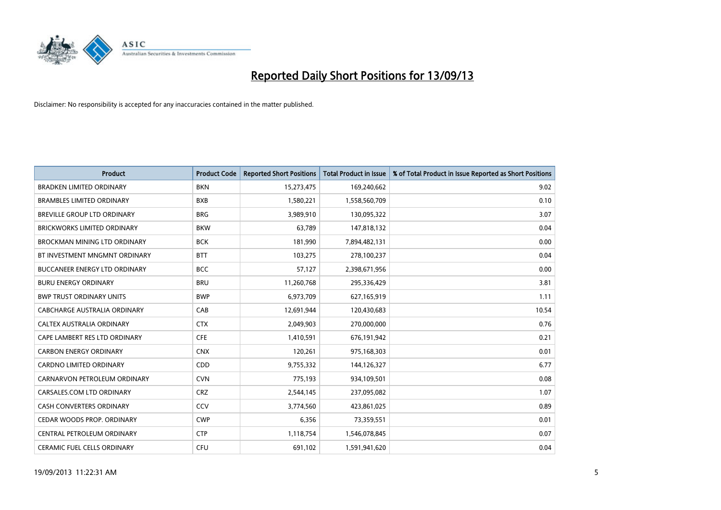

| <b>Product</b>                       | <b>Product Code</b> | <b>Reported Short Positions</b> | <b>Total Product in Issue</b> | % of Total Product in Issue Reported as Short Positions |
|--------------------------------------|---------------------|---------------------------------|-------------------------------|---------------------------------------------------------|
| <b>BRADKEN LIMITED ORDINARY</b>      | <b>BKN</b>          | 15,273,475                      | 169,240,662                   | 9.02                                                    |
| <b>BRAMBLES LIMITED ORDINARY</b>     | <b>BXB</b>          | 1,580,221                       | 1,558,560,709                 | 0.10                                                    |
| BREVILLE GROUP LTD ORDINARY          | <b>BRG</b>          | 3,989,910                       | 130,095,322                   | 3.07                                                    |
| BRICKWORKS LIMITED ORDINARY          | <b>BKW</b>          | 63,789                          | 147,818,132                   | 0.04                                                    |
| <b>BROCKMAN MINING LTD ORDINARY</b>  | <b>BCK</b>          | 181,990                         | 7,894,482,131                 | 0.00                                                    |
| BT INVESTMENT MNGMNT ORDINARY        | <b>BTT</b>          | 103,275                         | 278,100,237                   | 0.04                                                    |
| <b>BUCCANEER ENERGY LTD ORDINARY</b> | <b>BCC</b>          | 57,127                          | 2,398,671,956                 | 0.00                                                    |
| <b>BURU ENERGY ORDINARY</b>          | <b>BRU</b>          | 11,260,768                      | 295,336,429                   | 3.81                                                    |
| <b>BWP TRUST ORDINARY UNITS</b>      | <b>BWP</b>          | 6,973,709                       | 627,165,919                   | 1.11                                                    |
| CABCHARGE AUSTRALIA ORDINARY         | CAB                 | 12,691,944                      | 120,430,683                   | 10.54                                                   |
| CALTEX AUSTRALIA ORDINARY            | <b>CTX</b>          | 2,049,903                       | 270,000,000                   | 0.76                                                    |
| CAPE LAMBERT RES LTD ORDINARY        | <b>CFE</b>          | 1,410,591                       | 676,191,942                   | 0.21                                                    |
| <b>CARBON ENERGY ORDINARY</b>        | <b>CNX</b>          | 120,261                         | 975,168,303                   | 0.01                                                    |
| <b>CARDNO LIMITED ORDINARY</b>       | CDD                 | 9,755,332                       | 144,126,327                   | 6.77                                                    |
| CARNARVON PETROLEUM ORDINARY         | <b>CVN</b>          | 775,193                         | 934,109,501                   | 0.08                                                    |
| CARSALES.COM LTD ORDINARY            | <b>CRZ</b>          | 2,544,145                       | 237,095,082                   | 1.07                                                    |
| CASH CONVERTERS ORDINARY             | CCV                 | 3,774,560                       | 423,861,025                   | 0.89                                                    |
| CEDAR WOODS PROP. ORDINARY           | <b>CWP</b>          | 6,356                           | 73,359,551                    | 0.01                                                    |
| CENTRAL PETROLEUM ORDINARY           | <b>CTP</b>          | 1,118,754                       | 1,546,078,845                 | 0.07                                                    |
| <b>CERAMIC FUEL CELLS ORDINARY</b>   | <b>CFU</b>          | 691,102                         | 1,591,941,620                 | 0.04                                                    |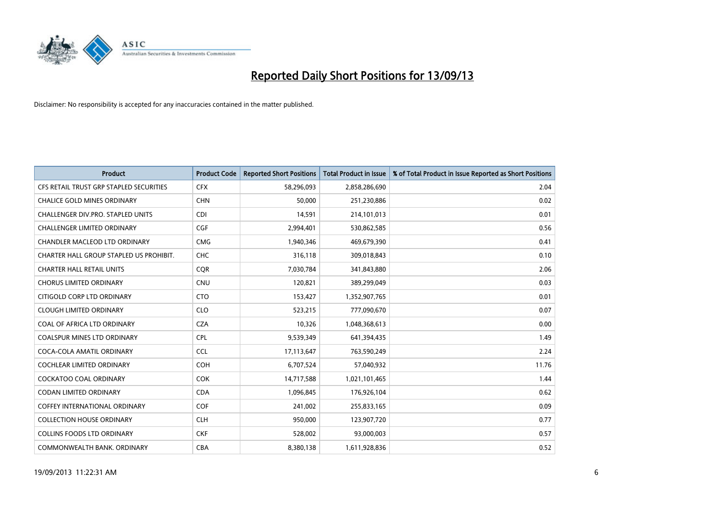

| <b>Product</b>                          | <b>Product Code</b> | <b>Reported Short Positions</b> | <b>Total Product in Issue</b> | % of Total Product in Issue Reported as Short Positions |
|-----------------------------------------|---------------------|---------------------------------|-------------------------------|---------------------------------------------------------|
| CFS RETAIL TRUST GRP STAPLED SECURITIES | <b>CFX</b>          | 58,296,093                      | 2,858,286,690                 | 2.04                                                    |
| CHALICE GOLD MINES ORDINARY             | <b>CHN</b>          | 50,000                          | 251,230,886                   | 0.02                                                    |
| CHALLENGER DIV.PRO. STAPLED UNITS       | <b>CDI</b>          | 14,591                          | 214,101,013                   | 0.01                                                    |
| <b>CHALLENGER LIMITED ORDINARY</b>      | <b>CGF</b>          | 2,994,401                       | 530,862,585                   | 0.56                                                    |
| <b>CHANDLER MACLEOD LTD ORDINARY</b>    | <b>CMG</b>          | 1,940,346                       | 469,679,390                   | 0.41                                                    |
| CHARTER HALL GROUP STAPLED US PROHIBIT. | <b>CHC</b>          | 316,118                         | 309,018,843                   | 0.10                                                    |
| <b>CHARTER HALL RETAIL UNITS</b>        | <b>CQR</b>          | 7,030,784                       | 341,843,880                   | 2.06                                                    |
| <b>CHORUS LIMITED ORDINARY</b>          | <b>CNU</b>          | 120,821                         | 389,299,049                   | 0.03                                                    |
| CITIGOLD CORP LTD ORDINARY              | <b>CTO</b>          | 153,427                         | 1,352,907,765                 | 0.01                                                    |
| <b>CLOUGH LIMITED ORDINARY</b>          | <b>CLO</b>          | 523,215                         | 777,090,670                   | 0.07                                                    |
| COAL OF AFRICA LTD ORDINARY             | <b>CZA</b>          | 10,326                          | 1,048,368,613                 | 0.00                                                    |
| COALSPUR MINES LTD ORDINARY             | <b>CPL</b>          | 9,539,349                       | 641,394,435                   | 1.49                                                    |
| COCA-COLA AMATIL ORDINARY               | <b>CCL</b>          | 17,113,647                      | 763,590,249                   | 2.24                                                    |
| <b>COCHLEAR LIMITED ORDINARY</b>        | <b>COH</b>          | 6,707,524                       | 57,040,932                    | 11.76                                                   |
| <b>COCKATOO COAL ORDINARY</b>           | COK                 | 14,717,588                      | 1,021,101,465                 | 1.44                                                    |
| <b>CODAN LIMITED ORDINARY</b>           | <b>CDA</b>          | 1,096,845                       | 176,926,104                   | 0.62                                                    |
| <b>COFFEY INTERNATIONAL ORDINARY</b>    | <b>COF</b>          | 241,002                         | 255,833,165                   | 0.09                                                    |
| <b>COLLECTION HOUSE ORDINARY</b>        | <b>CLH</b>          | 950,000                         | 123,907,720                   | 0.77                                                    |
| <b>COLLINS FOODS LTD ORDINARY</b>       | <b>CKF</b>          | 528,002                         | 93,000,003                    | 0.57                                                    |
| COMMONWEALTH BANK, ORDINARY             | <b>CBA</b>          | 8,380,138                       | 1,611,928,836                 | 0.52                                                    |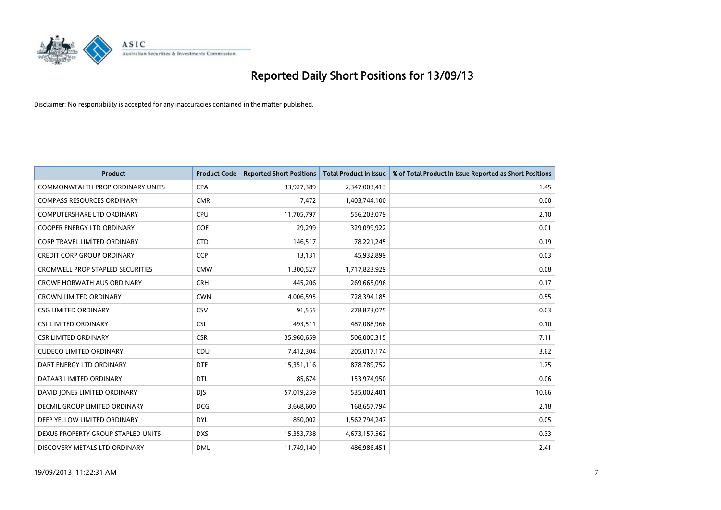

| Product                                 | <b>Product Code</b> | <b>Reported Short Positions</b> | <b>Total Product in Issue</b> | % of Total Product in Issue Reported as Short Positions |
|-----------------------------------------|---------------------|---------------------------------|-------------------------------|---------------------------------------------------------|
| <b>COMMONWEALTH PROP ORDINARY UNITS</b> | <b>CPA</b>          | 33,927,389                      | 2,347,003,413                 | 1.45                                                    |
| <b>COMPASS RESOURCES ORDINARY</b>       | <b>CMR</b>          | 7,472                           | 1,403,744,100                 | 0.00                                                    |
| <b>COMPUTERSHARE LTD ORDINARY</b>       | <b>CPU</b>          | 11,705,797                      | 556,203,079                   | 2.10                                                    |
| COOPER ENERGY LTD ORDINARY              | <b>COE</b>          | 29,299                          | 329,099,922                   | 0.01                                                    |
| <b>CORP TRAVEL LIMITED ORDINARY</b>     | <b>CTD</b>          | 146,517                         | 78,221,245                    | 0.19                                                    |
| <b>CREDIT CORP GROUP ORDINARY</b>       | <b>CCP</b>          | 13,131                          | 45,932,899                    | 0.03                                                    |
| <b>CROMWELL PROP STAPLED SECURITIES</b> | <b>CMW</b>          | 1,300,527                       | 1,717,823,929                 | 0.08                                                    |
| <b>CROWE HORWATH AUS ORDINARY</b>       | <b>CRH</b>          | 445,206                         | 269,665,096                   | 0.17                                                    |
| <b>CROWN LIMITED ORDINARY</b>           | <b>CWN</b>          | 4,006,595                       | 728,394,185                   | 0.55                                                    |
| <b>CSG LIMITED ORDINARY</b>             | CSV                 | 91,555                          | 278,873,075                   | 0.03                                                    |
| <b>CSL LIMITED ORDINARY</b>             | <b>CSL</b>          | 493,511                         | 487,088,966                   | 0.10                                                    |
| <b>CSR LIMITED ORDINARY</b>             | <b>CSR</b>          | 35,960,659                      | 506,000,315                   | 7.11                                                    |
| <b>CUDECO LIMITED ORDINARY</b>          | CDU                 | 7,412,304                       | 205,017,174                   | 3.62                                                    |
| DART ENERGY LTD ORDINARY                | <b>DTE</b>          | 15,351,116                      | 878,789,752                   | 1.75                                                    |
| DATA#3 LIMITED ORDINARY                 | <b>DTL</b>          | 85,674                          | 153,974,950                   | 0.06                                                    |
| DAVID JONES LIMITED ORDINARY            | <b>DJS</b>          | 57,019,259                      | 535,002,401                   | 10.66                                                   |
| DECMIL GROUP LIMITED ORDINARY           | <b>DCG</b>          | 3,668,600                       | 168,657,794                   | 2.18                                                    |
| DEEP YELLOW LIMITED ORDINARY            | <b>DYL</b>          | 850,002                         | 1,562,794,247                 | 0.05                                                    |
| DEXUS PROPERTY GROUP STAPLED UNITS      | <b>DXS</b>          | 15,353,738                      | 4,673,157,562                 | 0.33                                                    |
| DISCOVERY METALS LTD ORDINARY           | <b>DML</b>          | 11,749,140                      | 486,986,451                   | 2.41                                                    |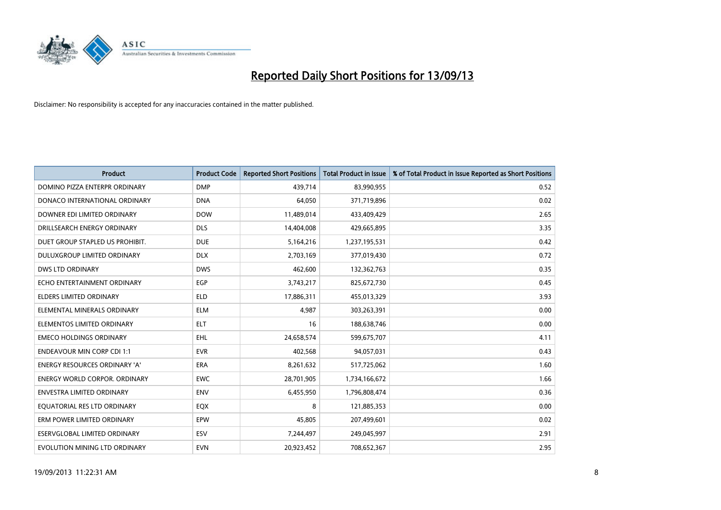

| <b>Product</b>                       | <b>Product Code</b> | <b>Reported Short Positions</b> | <b>Total Product in Issue</b> | % of Total Product in Issue Reported as Short Positions |
|--------------------------------------|---------------------|---------------------------------|-------------------------------|---------------------------------------------------------|
| DOMINO PIZZA ENTERPR ORDINARY        | <b>DMP</b>          | 439,714                         | 83,990,955                    | 0.52                                                    |
| DONACO INTERNATIONAL ORDINARY        | <b>DNA</b>          | 64,050                          | 371,719,896                   | 0.02                                                    |
| DOWNER EDI LIMITED ORDINARY          | <b>DOW</b>          | 11,489,014                      | 433,409,429                   | 2.65                                                    |
| DRILLSEARCH ENERGY ORDINARY          | <b>DLS</b>          | 14,404,008                      | 429,665,895                   | 3.35                                                    |
| DUET GROUP STAPLED US PROHIBIT.      | <b>DUE</b>          | 5,164,216                       | 1,237,195,531                 | 0.42                                                    |
| DULUXGROUP LIMITED ORDINARY          | <b>DLX</b>          | 2,703,169                       | 377,019,430                   | 0.72                                                    |
| <b>DWS LTD ORDINARY</b>              | <b>DWS</b>          | 462,600                         | 132,362,763                   | 0.35                                                    |
| ECHO ENTERTAINMENT ORDINARY          | <b>EGP</b>          | 3,743,217                       | 825,672,730                   | 0.45                                                    |
| <b>ELDERS LIMITED ORDINARY</b>       | <b>ELD</b>          | 17,886,311                      | 455,013,329                   | 3.93                                                    |
| ELEMENTAL MINERALS ORDINARY          | <b>ELM</b>          | 4,987                           | 303,263,391                   | 0.00                                                    |
| ELEMENTOS LIMITED ORDINARY           | <b>ELT</b>          | 16                              | 188,638,746                   | 0.00                                                    |
| <b>EMECO HOLDINGS ORDINARY</b>       | <b>EHL</b>          | 24,658,574                      | 599,675,707                   | 4.11                                                    |
| <b>ENDEAVOUR MIN CORP CDI 1:1</b>    | <b>EVR</b>          | 402,568                         | 94,057,031                    | 0.43                                                    |
| <b>ENERGY RESOURCES ORDINARY 'A'</b> | <b>ERA</b>          | 8,261,632                       | 517,725,062                   | 1.60                                                    |
| <b>ENERGY WORLD CORPOR, ORDINARY</b> | <b>EWC</b>          | 28,701,905                      | 1,734,166,672                 | 1.66                                                    |
| <b>ENVESTRA LIMITED ORDINARY</b>     | <b>ENV</b>          | 6,455,950                       | 1,796,808,474                 | 0.36                                                    |
| EQUATORIAL RES LTD ORDINARY          | EQX                 | 8                               | 121,885,353                   | 0.00                                                    |
| ERM POWER LIMITED ORDINARY           | EPW                 | 45,805                          | 207,499,601                   | 0.02                                                    |
| ESERVGLOBAL LIMITED ORDINARY         | ESV                 | 7,244,497                       | 249,045,997                   | 2.91                                                    |
| EVOLUTION MINING LTD ORDINARY        | <b>EVN</b>          | 20,923,452                      | 708,652,367                   | 2.95                                                    |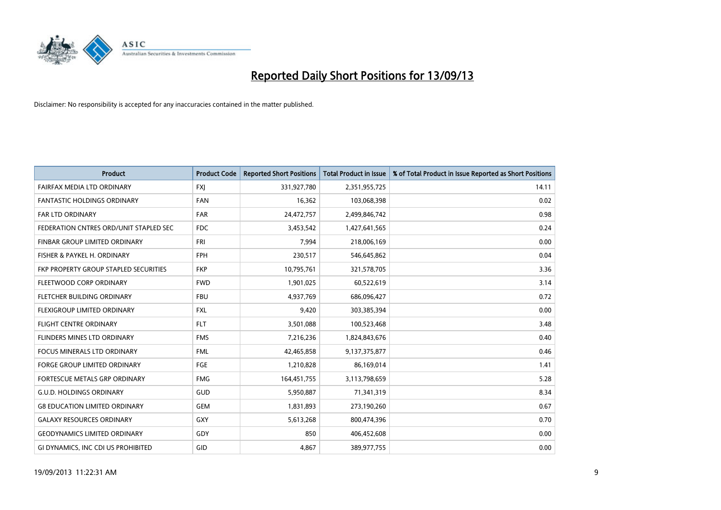

| <b>Product</b>                         | <b>Product Code</b> | <b>Reported Short Positions</b> | <b>Total Product in Issue</b> | % of Total Product in Issue Reported as Short Positions |
|----------------------------------------|---------------------|---------------------------------|-------------------------------|---------------------------------------------------------|
| FAIRFAX MEDIA LTD ORDINARY             | <b>FXJ</b>          | 331,927,780                     | 2,351,955,725                 | 14.11                                                   |
| <b>FANTASTIC HOLDINGS ORDINARY</b>     | <b>FAN</b>          | 16,362                          | 103,068,398                   | 0.02                                                    |
| <b>FAR LTD ORDINARY</b>                | <b>FAR</b>          | 24,472,757                      | 2,499,846,742                 | 0.98                                                    |
| FEDERATION CNTRES ORD/UNIT STAPLED SEC | <b>FDC</b>          | 3,453,542                       | 1,427,641,565                 | 0.24                                                    |
| <b>FINBAR GROUP LIMITED ORDINARY</b>   | <b>FRI</b>          | 7,994                           | 218,006,169                   | 0.00                                                    |
| FISHER & PAYKEL H. ORDINARY            | <b>FPH</b>          | 230,517                         | 546,645,862                   | 0.04                                                    |
| FKP PROPERTY GROUP STAPLED SECURITIES  | <b>FKP</b>          | 10,795,761                      | 321,578,705                   | 3.36                                                    |
| FLEETWOOD CORP ORDINARY                | <b>FWD</b>          | 1,901,025                       | 60,522,619                    | 3.14                                                    |
| FLETCHER BUILDING ORDINARY             | <b>FBU</b>          | 4,937,769                       | 686,096,427                   | 0.72                                                    |
| FLEXIGROUP LIMITED ORDINARY            | <b>FXL</b>          | 9,420                           | 303,385,394                   | 0.00                                                    |
| FLIGHT CENTRE ORDINARY                 | <b>FLT</b>          | 3,501,088                       | 100,523,468                   | 3.48                                                    |
| FLINDERS MINES LTD ORDINARY            | <b>FMS</b>          | 7,216,236                       | 1,824,843,676                 | 0.40                                                    |
| <b>FOCUS MINERALS LTD ORDINARY</b>     | <b>FML</b>          | 42,465,858                      | 9,137,375,877                 | 0.46                                                    |
| <b>FORGE GROUP LIMITED ORDINARY</b>    | FGE                 | 1,210,828                       | 86,169,014                    | 1.41                                                    |
| FORTESCUE METALS GRP ORDINARY          | <b>FMG</b>          | 164,451,755                     | 3,113,798,659                 | 5.28                                                    |
| <b>G.U.D. HOLDINGS ORDINARY</b>        | GUD                 | 5,950,887                       | 71,341,319                    | 8.34                                                    |
| <b>G8 EDUCATION LIMITED ORDINARY</b>   | <b>GEM</b>          | 1,831,893                       | 273,190,260                   | 0.67                                                    |
| <b>GALAXY RESOURCES ORDINARY</b>       | <b>GXY</b>          | 5,613,268                       | 800,474,396                   | 0.70                                                    |
| <b>GEODYNAMICS LIMITED ORDINARY</b>    | GDY                 | 850                             | 406,452,608                   | 0.00                                                    |
| GI DYNAMICS, INC CDI US PROHIBITED     | GID                 | 4,867                           | 389,977,755                   | 0.00                                                    |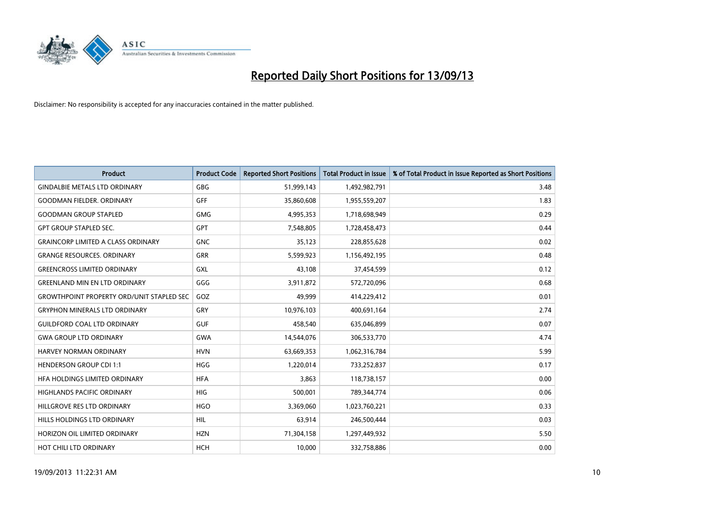

| <b>Product</b>                                   | <b>Product Code</b> | <b>Reported Short Positions</b> | <b>Total Product in Issue</b> | % of Total Product in Issue Reported as Short Positions |
|--------------------------------------------------|---------------------|---------------------------------|-------------------------------|---------------------------------------------------------|
| <b>GINDALBIE METALS LTD ORDINARY</b>             | GBG                 | 51,999,143                      | 1,492,982,791                 | 3.48                                                    |
| <b>GOODMAN FIELDER, ORDINARY</b>                 | <b>GFF</b>          | 35,860,608                      | 1,955,559,207                 | 1.83                                                    |
| <b>GOODMAN GROUP STAPLED</b>                     | <b>GMG</b>          | 4,995,353                       | 1,718,698,949                 | 0.29                                                    |
| <b>GPT GROUP STAPLED SEC.</b>                    | GPT                 | 7,548,805                       | 1,728,458,473                 | 0.44                                                    |
| <b>GRAINCORP LIMITED A CLASS ORDINARY</b>        | <b>GNC</b>          | 35,123                          | 228,855,628                   | 0.02                                                    |
| <b>GRANGE RESOURCES, ORDINARY</b>                | <b>GRR</b>          | 5,599,923                       | 1,156,492,195                 | 0.48                                                    |
| <b>GREENCROSS LIMITED ORDINARY</b>               | GXL                 | 43,108                          | 37,454,599                    | 0.12                                                    |
| <b>GREENLAND MIN EN LTD ORDINARY</b>             | GGG                 | 3,911,872                       | 572,720,096                   | 0.68                                                    |
| <b>GROWTHPOINT PROPERTY ORD/UNIT STAPLED SEC</b> | GOZ                 | 49,999                          | 414,229,412                   | 0.01                                                    |
| <b>GRYPHON MINERALS LTD ORDINARY</b>             | GRY                 | 10,976,103                      | 400,691,164                   | 2.74                                                    |
| <b>GUILDFORD COAL LTD ORDINARY</b>               | <b>GUF</b>          | 458,540                         | 635,046,899                   | 0.07                                                    |
| <b>GWA GROUP LTD ORDINARY</b>                    | <b>GWA</b>          | 14,544,076                      | 306,533,770                   | 4.74                                                    |
| HARVEY NORMAN ORDINARY                           | <b>HVN</b>          | 63,669,353                      | 1,062,316,784                 | 5.99                                                    |
| <b>HENDERSON GROUP CDI 1:1</b>                   | <b>HGG</b>          | 1,220,014                       | 733,252,837                   | 0.17                                                    |
| HFA HOLDINGS LIMITED ORDINARY                    | <b>HFA</b>          | 3.863                           | 118,738,157                   | 0.00                                                    |
| HIGHLANDS PACIFIC ORDINARY                       | <b>HIG</b>          | 500,001                         | 789,344,774                   | 0.06                                                    |
| HILLGROVE RES LTD ORDINARY                       | <b>HGO</b>          | 3,369,060                       | 1,023,760,221                 | 0.33                                                    |
| HILLS HOLDINGS LTD ORDINARY                      | <b>HIL</b>          | 63,914                          | 246,500,444                   | 0.03                                                    |
| HORIZON OIL LIMITED ORDINARY                     | <b>HZN</b>          | 71,304,158                      | 1,297,449,932                 | 5.50                                                    |
| HOT CHILI LTD ORDINARY                           | <b>HCH</b>          | 10,000                          | 332,758,886                   | 0.00                                                    |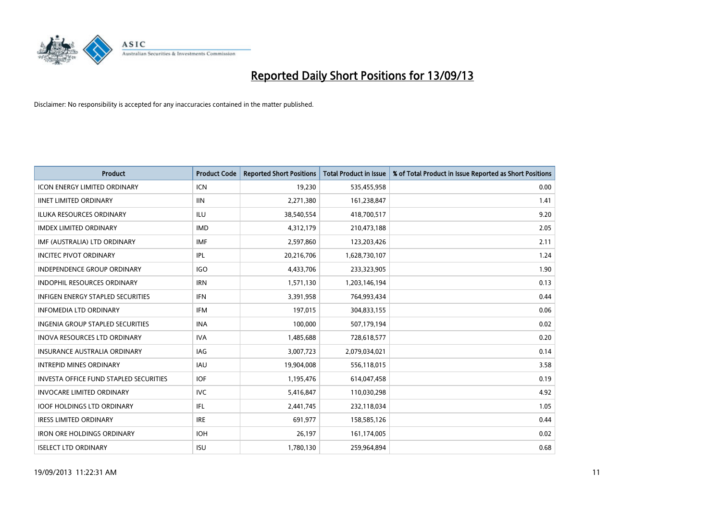

| <b>Product</b>                           | <b>Product Code</b> | <b>Reported Short Positions</b> | <b>Total Product in Issue</b> | % of Total Product in Issue Reported as Short Positions |
|------------------------------------------|---------------------|---------------------------------|-------------------------------|---------------------------------------------------------|
| <b>ICON ENERGY LIMITED ORDINARY</b>      | <b>ICN</b>          | 19,230                          | 535,455,958                   | 0.00                                                    |
| <b>IINET LIMITED ORDINARY</b>            | <b>IIN</b>          | 2,271,380                       | 161,238,847                   | 1.41                                                    |
| <b>ILUKA RESOURCES ORDINARY</b>          | ILU                 | 38,540,554                      | 418,700,517                   | 9.20                                                    |
| <b>IMDEX LIMITED ORDINARY</b>            | <b>IMD</b>          | 4,312,179                       | 210,473,188                   | 2.05                                                    |
| IMF (AUSTRALIA) LTD ORDINARY             | <b>IMF</b>          | 2,597,860                       | 123,203,426                   | 2.11                                                    |
| <b>INCITEC PIVOT ORDINARY</b>            | IPL                 | 20,216,706                      | 1,628,730,107                 | 1.24                                                    |
| <b>INDEPENDENCE GROUP ORDINARY</b>       | IGO                 | 4,433,706                       | 233,323,905                   | 1.90                                                    |
| INDOPHIL RESOURCES ORDINARY              | <b>IRN</b>          | 1,571,130                       | 1,203,146,194                 | 0.13                                                    |
| <b>INFIGEN ENERGY STAPLED SECURITIES</b> | <b>IFN</b>          | 3,391,958                       | 764,993,434                   | 0.44                                                    |
| <b>INFOMEDIA LTD ORDINARY</b>            | IFM                 | 197,015                         | 304,833,155                   | 0.06                                                    |
| <b>INGENIA GROUP STAPLED SECURITIES</b>  | <b>INA</b>          | 100,000                         | 507,179,194                   | 0.02                                                    |
| <b>INOVA RESOURCES LTD ORDINARY</b>      | <b>IVA</b>          | 1,485,688                       | 728,618,577                   | 0.20                                                    |
| <b>INSURANCE AUSTRALIA ORDINARY</b>      | IAG                 | 3,007,723                       | 2,079,034,021                 | 0.14                                                    |
| <b>INTREPID MINES ORDINARY</b>           | <b>IAU</b>          | 19,904,008                      | 556,118,015                   | 3.58                                                    |
| INVESTA OFFICE FUND STAPLED SECURITIES   | <b>IOF</b>          | 1,195,476                       | 614,047,458                   | 0.19                                                    |
| <b>INVOCARE LIMITED ORDINARY</b>         | <b>IVC</b>          | 5,416,847                       | 110,030,298                   | 4.92                                                    |
| <b>IOOF HOLDINGS LTD ORDINARY</b>        | IFL                 | 2,441,745                       | 232,118,034                   | 1.05                                                    |
| <b>IRESS LIMITED ORDINARY</b>            | <b>IRE</b>          | 691,977                         | 158,585,126                   | 0.44                                                    |
| <b>IRON ORE HOLDINGS ORDINARY</b>        | <b>IOH</b>          | 26,197                          | 161,174,005                   | 0.02                                                    |
| <b>ISELECT LTD ORDINARY</b>              | <b>ISU</b>          | 1,780,130                       | 259,964,894                   | 0.68                                                    |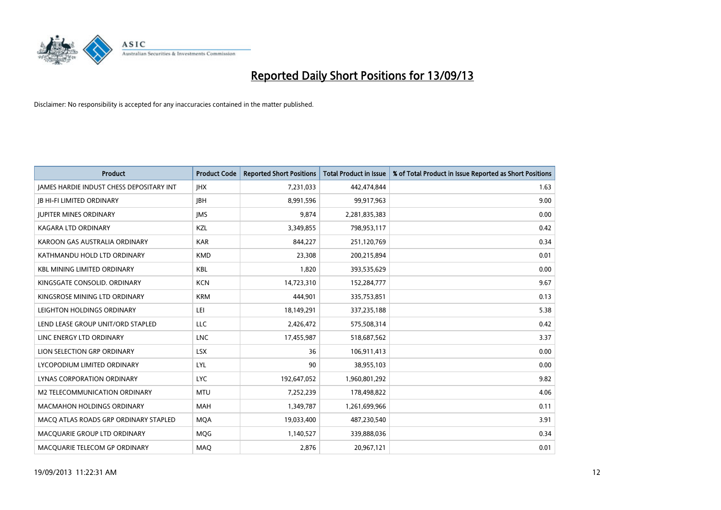

| <b>Product</b>                                  | <b>Product Code</b> | <b>Reported Short Positions</b> | <b>Total Product in Issue</b> | % of Total Product in Issue Reported as Short Positions |
|-------------------------------------------------|---------------------|---------------------------------|-------------------------------|---------------------------------------------------------|
| <b>JAMES HARDIE INDUST CHESS DEPOSITARY INT</b> | <b>IHX</b>          | 7,231,033                       | 442,474,844                   | 1.63                                                    |
| <b>JB HI-FI LIMITED ORDINARY</b>                | <b>JBH</b>          | 8,991,596                       | 99,917,963                    | 9.00                                                    |
| <b>JUPITER MINES ORDINARY</b>                   | <b>IMS</b>          | 9,874                           | 2,281,835,383                 | 0.00                                                    |
| <b>KAGARA LTD ORDINARY</b>                      | KZL                 | 3,349,855                       | 798,953,117                   | 0.42                                                    |
| KAROON GAS AUSTRALIA ORDINARY                   | <b>KAR</b>          | 844,227                         | 251,120,769                   | 0.34                                                    |
| KATHMANDU HOLD LTD ORDINARY                     | <b>KMD</b>          | 23,308                          | 200,215,894                   | 0.01                                                    |
| <b>KBL MINING LIMITED ORDINARY</b>              | <b>KBL</b>          | 1,820                           | 393,535,629                   | 0.00                                                    |
| KINGSGATE CONSOLID. ORDINARY                    | <b>KCN</b>          | 14,723,310                      | 152,284,777                   | 9.67                                                    |
| KINGSROSE MINING LTD ORDINARY                   | <b>KRM</b>          | 444,901                         | 335,753,851                   | 0.13                                                    |
| LEIGHTON HOLDINGS ORDINARY                      | LEI                 | 18,149,291                      | 337,235,188                   | 5.38                                                    |
| LEND LEASE GROUP UNIT/ORD STAPLED               | LLC                 | 2,426,472                       | 575,508,314                   | 0.42                                                    |
| LINC ENERGY LTD ORDINARY                        | <b>LNC</b>          | 17,455,987                      | 518,687,562                   | 3.37                                                    |
| LION SELECTION GRP ORDINARY                     | <b>LSX</b>          | 36                              | 106,911,413                   | 0.00                                                    |
| LYCOPODIUM LIMITED ORDINARY                     | LYL                 | 90                              | 38,955,103                    | 0.00                                                    |
| LYNAS CORPORATION ORDINARY                      | <b>LYC</b>          | 192,647,052                     | 1,960,801,292                 | 9.82                                                    |
| M2 TELECOMMUNICATION ORDINARY                   | <b>MTU</b>          | 7,252,239                       | 178,498,822                   | 4.06                                                    |
| MACMAHON HOLDINGS ORDINARY                      | MAH                 | 1,349,787                       | 1,261,699,966                 | 0.11                                                    |
| MACO ATLAS ROADS GRP ORDINARY STAPLED           | <b>MQA</b>          | 19,033,400                      | 487,230,540                   | 3.91                                                    |
| MACQUARIE GROUP LTD ORDINARY                    | MQG                 | 1,140,527                       | 339,888,036                   | 0.34                                                    |
| MACQUARIE TELECOM GP ORDINARY                   | MAQ                 | 2,876                           | 20,967,121                    | 0.01                                                    |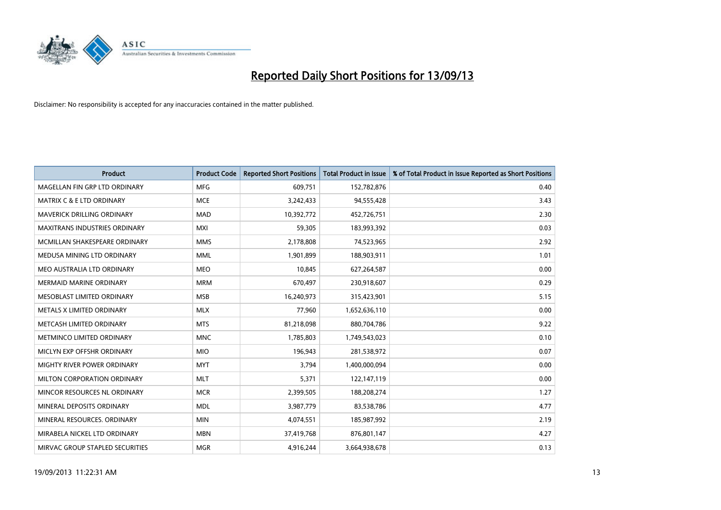

| <b>Product</b>                       | <b>Product Code</b> | <b>Reported Short Positions</b> | <b>Total Product in Issue</b> | % of Total Product in Issue Reported as Short Positions |
|--------------------------------------|---------------------|---------------------------------|-------------------------------|---------------------------------------------------------|
| MAGELLAN FIN GRP LTD ORDINARY        | <b>MFG</b>          | 609,751                         | 152,782,876                   | 0.40                                                    |
| <b>MATRIX C &amp; E LTD ORDINARY</b> | <b>MCE</b>          | 3,242,433                       | 94,555,428                    | 3.43                                                    |
| MAVERICK DRILLING ORDINARY           | <b>MAD</b>          | 10,392,772                      | 452,726,751                   | 2.30                                                    |
| MAXITRANS INDUSTRIES ORDINARY        | <b>MXI</b>          | 59,305                          | 183,993,392                   | 0.03                                                    |
| MCMILLAN SHAKESPEARE ORDINARY        | <b>MMS</b>          | 2,178,808                       | 74,523,965                    | 2.92                                                    |
| MEDUSA MINING LTD ORDINARY           | <b>MML</b>          | 1,901,899                       | 188,903,911                   | 1.01                                                    |
| MEO AUSTRALIA LTD ORDINARY           | <b>MEO</b>          | 10,845                          | 627,264,587                   | 0.00                                                    |
| <b>MERMAID MARINE ORDINARY</b>       | <b>MRM</b>          | 670,497                         | 230,918,607                   | 0.29                                                    |
| MESOBLAST LIMITED ORDINARY           | <b>MSB</b>          | 16,240,973                      | 315,423,901                   | 5.15                                                    |
| METALS X LIMITED ORDINARY            | <b>MLX</b>          | 77,960                          | 1,652,636,110                 | 0.00                                                    |
| METCASH LIMITED ORDINARY             | <b>MTS</b>          | 81,218,098                      | 880,704,786                   | 9.22                                                    |
| METMINCO LIMITED ORDINARY            | <b>MNC</b>          | 1,785,803                       | 1,749,543,023                 | 0.10                                                    |
| MICLYN EXP OFFSHR ORDINARY           | <b>MIO</b>          | 196,943                         | 281,538,972                   | 0.07                                                    |
| MIGHTY RIVER POWER ORDINARY          | <b>MYT</b>          | 3,794                           | 1,400,000,094                 | 0.00                                                    |
| MILTON CORPORATION ORDINARY          | <b>MLT</b>          | 5,371                           | 122,147,119                   | 0.00                                                    |
| MINCOR RESOURCES NL ORDINARY         | <b>MCR</b>          | 2,399,505                       | 188,208,274                   | 1.27                                                    |
| MINERAL DEPOSITS ORDINARY            | <b>MDL</b>          | 3,987,779                       | 83,538,786                    | 4.77                                                    |
| MINERAL RESOURCES. ORDINARY          | <b>MIN</b>          | 4,074,551                       | 185,987,992                   | 2.19                                                    |
| MIRABELA NICKEL LTD ORDINARY         | <b>MBN</b>          | 37,419,768                      | 876,801,147                   | 4.27                                                    |
| MIRVAC GROUP STAPLED SECURITIES      | <b>MGR</b>          | 4,916,244                       | 3,664,938,678                 | 0.13                                                    |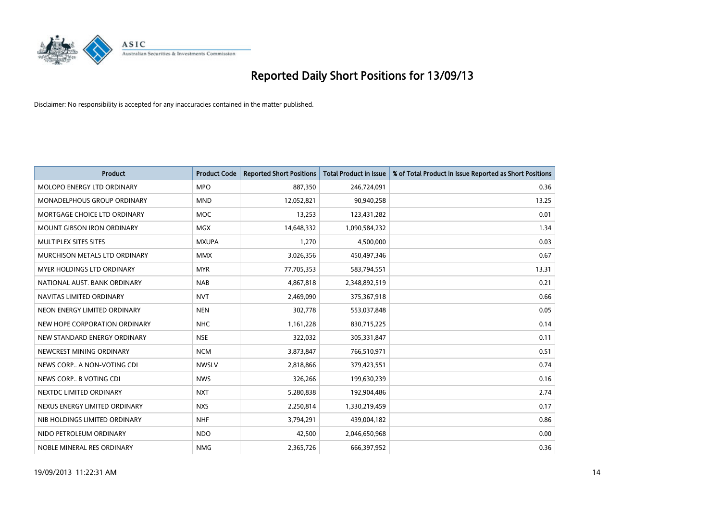

| <b>Product</b>                     | <b>Product Code</b> | <b>Reported Short Positions</b> | <b>Total Product in Issue</b> | % of Total Product in Issue Reported as Short Positions |
|------------------------------------|---------------------|---------------------------------|-------------------------------|---------------------------------------------------------|
| MOLOPO ENERGY LTD ORDINARY         | <b>MPO</b>          | 887,350                         | 246,724,091                   | 0.36                                                    |
| <b>MONADELPHOUS GROUP ORDINARY</b> | <b>MND</b>          | 12,052,821                      | 90,940,258                    | 13.25                                                   |
| MORTGAGE CHOICE LTD ORDINARY       | <b>MOC</b>          | 13,253                          | 123,431,282                   | 0.01                                                    |
| MOUNT GIBSON IRON ORDINARY         | <b>MGX</b>          | 14,648,332                      | 1,090,584,232                 | 1.34                                                    |
| MULTIPLEX SITES SITES              | <b>MXUPA</b>        | 1,270                           | 4,500,000                     | 0.03                                                    |
| MURCHISON METALS LTD ORDINARY      | <b>MMX</b>          | 3,026,356                       | 450,497,346                   | 0.67                                                    |
| MYER HOLDINGS LTD ORDINARY         | <b>MYR</b>          | 77,705,353                      | 583,794,551                   | 13.31                                                   |
| NATIONAL AUST. BANK ORDINARY       | <b>NAB</b>          | 4,867,818                       | 2,348,892,519                 | 0.21                                                    |
| NAVITAS LIMITED ORDINARY           | <b>NVT</b>          | 2,469,090                       | 375,367,918                   | 0.66                                                    |
| NEON ENERGY LIMITED ORDINARY       | <b>NEN</b>          | 302,778                         | 553,037,848                   | 0.05                                                    |
| NEW HOPE CORPORATION ORDINARY      | <b>NHC</b>          | 1,161,228                       | 830,715,225                   | 0.14                                                    |
| NEW STANDARD ENERGY ORDINARY       | <b>NSE</b>          | 322,032                         | 305,331,847                   | 0.11                                                    |
| NEWCREST MINING ORDINARY           | <b>NCM</b>          | 3,873,847                       | 766,510,971                   | 0.51                                                    |
| NEWS CORP A NON-VOTING CDI         | <b>NWSLV</b>        | 2,818,866                       | 379,423,551                   | 0.74                                                    |
| NEWS CORP B VOTING CDI             | <b>NWS</b>          | 326,266                         | 199,630,239                   | 0.16                                                    |
| NEXTDC LIMITED ORDINARY            | <b>NXT</b>          | 5,280,838                       | 192,904,486                   | 2.74                                                    |
| NEXUS ENERGY LIMITED ORDINARY      | <b>NXS</b>          | 2,250,814                       | 1,330,219,459                 | 0.17                                                    |
| NIB HOLDINGS LIMITED ORDINARY      | <b>NHF</b>          | 3,794,291                       | 439,004,182                   | 0.86                                                    |
| NIDO PETROLEUM ORDINARY            | <b>NDO</b>          | 42,500                          | 2,046,650,968                 | 0.00                                                    |
| NOBLE MINERAL RES ORDINARY         | <b>NMG</b>          | 2,365,726                       | 666,397,952                   | 0.36                                                    |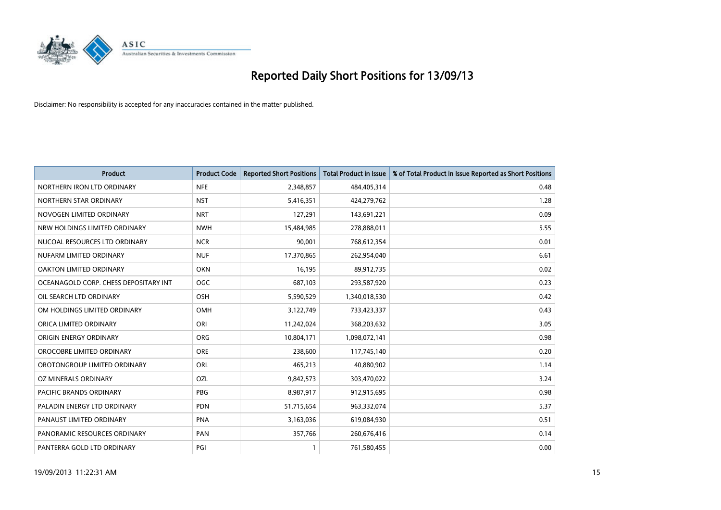

| <b>Product</b>                        | <b>Product Code</b> | <b>Reported Short Positions</b> | <b>Total Product in Issue</b> | % of Total Product in Issue Reported as Short Positions |
|---------------------------------------|---------------------|---------------------------------|-------------------------------|---------------------------------------------------------|
| NORTHERN IRON LTD ORDINARY            | <b>NFE</b>          | 2,348,857                       | 484,405,314                   | 0.48                                                    |
| NORTHERN STAR ORDINARY                | <b>NST</b>          | 5,416,351                       | 424,279,762                   | 1.28                                                    |
| NOVOGEN LIMITED ORDINARY              | <b>NRT</b>          | 127,291                         | 143,691,221                   | 0.09                                                    |
| NRW HOLDINGS LIMITED ORDINARY         | <b>NWH</b>          | 15,484,985                      | 278,888,011                   | 5.55                                                    |
| NUCOAL RESOURCES LTD ORDINARY         | <b>NCR</b>          | 90,001                          | 768,612,354                   | 0.01                                                    |
| NUFARM LIMITED ORDINARY               | <b>NUF</b>          | 17,370,865                      | 262,954,040                   | 6.61                                                    |
| OAKTON LIMITED ORDINARY               | <b>OKN</b>          | 16,195                          | 89,912,735                    | 0.02                                                    |
| OCEANAGOLD CORP. CHESS DEPOSITARY INT | <b>OGC</b>          | 687,103                         | 293,587,920                   | 0.23                                                    |
| OIL SEARCH LTD ORDINARY               | OSH                 | 5,590,529                       | 1,340,018,530                 | 0.42                                                    |
| OM HOLDINGS LIMITED ORDINARY          | OMH                 | 3,122,749                       | 733,423,337                   | 0.43                                                    |
| ORICA LIMITED ORDINARY                | ORI                 | 11,242,024                      | 368,203,632                   | 3.05                                                    |
| ORIGIN ENERGY ORDINARY                | <b>ORG</b>          | 10,804,171                      | 1,098,072,141                 | 0.98                                                    |
| OROCOBRE LIMITED ORDINARY             | <b>ORE</b>          | 238,600                         | 117,745,140                   | 0.20                                                    |
| OROTONGROUP LIMITED ORDINARY          | ORL                 | 465,213                         | 40,880,902                    | 1.14                                                    |
| OZ MINERALS ORDINARY                  | OZL                 | 9,842,573                       | 303,470,022                   | 3.24                                                    |
| PACIFIC BRANDS ORDINARY               | <b>PBG</b>          | 8,987,917                       | 912,915,695                   | 0.98                                                    |
| PALADIN ENERGY LTD ORDINARY           | <b>PDN</b>          | 51,715,654                      | 963,332,074                   | 5.37                                                    |
| PANAUST LIMITED ORDINARY              | <b>PNA</b>          | 3,163,036                       | 619,084,930                   | 0.51                                                    |
| PANORAMIC RESOURCES ORDINARY          | PAN                 | 357,766                         | 260,676,416                   | 0.14                                                    |
| PANTERRA GOLD LTD ORDINARY            | PGI                 | 1                               | 761,580,455                   | 0.00                                                    |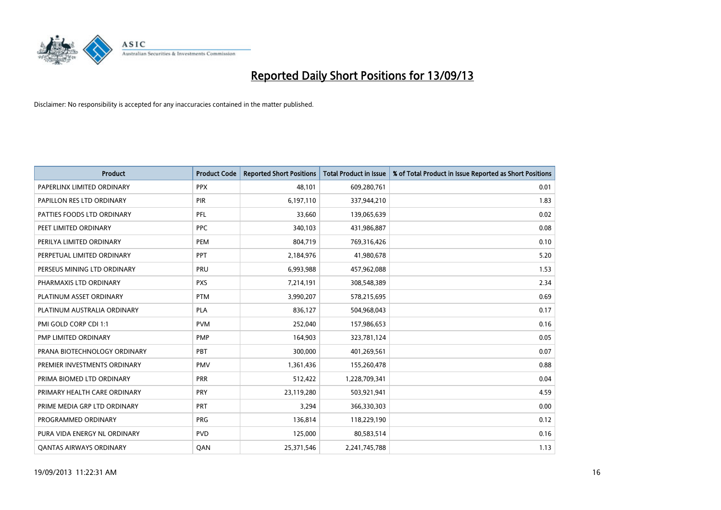

| <b>Product</b>                 | <b>Product Code</b> | <b>Reported Short Positions</b> | <b>Total Product in Issue</b> | % of Total Product in Issue Reported as Short Positions |
|--------------------------------|---------------------|---------------------------------|-------------------------------|---------------------------------------------------------|
| PAPERLINX LIMITED ORDINARY     | <b>PPX</b>          | 48,101                          | 609,280,761                   | 0.01                                                    |
| PAPILLON RES LTD ORDINARY      | PIR                 | 6,197,110                       | 337,944,210                   | 1.83                                                    |
| PATTIES FOODS LTD ORDINARY     | PFL                 | 33,660                          | 139,065,639                   | 0.02                                                    |
| PEET LIMITED ORDINARY          | <b>PPC</b>          | 340,103                         | 431,986,887                   | 0.08                                                    |
| PERILYA LIMITED ORDINARY       | PEM                 | 804,719                         | 769,316,426                   | 0.10                                                    |
| PERPETUAL LIMITED ORDINARY     | PPT                 | 2,184,976                       | 41,980,678                    | 5.20                                                    |
| PERSEUS MINING LTD ORDINARY    | <b>PRU</b>          | 6,993,988                       | 457,962,088                   | 1.53                                                    |
| PHARMAXIS LTD ORDINARY         | <b>PXS</b>          | 7,214,191                       | 308,548,389                   | 2.34                                                    |
| PLATINUM ASSET ORDINARY        | <b>PTM</b>          | 3,990,207                       | 578,215,695                   | 0.69                                                    |
| PLATINUM AUSTRALIA ORDINARY    | <b>PLA</b>          | 836,127                         | 504,968,043                   | 0.17                                                    |
| PMI GOLD CORP CDI 1:1          | <b>PVM</b>          | 252,040                         | 157,986,653                   | 0.16                                                    |
| PMP LIMITED ORDINARY           | <b>PMP</b>          | 164,903                         | 323,781,124                   | 0.05                                                    |
| PRANA BIOTECHNOLOGY ORDINARY   | PBT                 | 300,000                         | 401,269,561                   | 0.07                                                    |
| PREMIER INVESTMENTS ORDINARY   | <b>PMV</b>          | 1,361,436                       | 155,260,478                   | 0.88                                                    |
| PRIMA BIOMED LTD ORDINARY      | <b>PRR</b>          | 512,422                         | 1,228,709,341                 | 0.04                                                    |
| PRIMARY HEALTH CARE ORDINARY   | <b>PRY</b>          | 23,119,280                      | 503,921,941                   | 4.59                                                    |
| PRIME MEDIA GRP LTD ORDINARY   | PRT                 | 3,294                           | 366,330,303                   | 0.00                                                    |
| PROGRAMMED ORDINARY            | <b>PRG</b>          | 136,814                         | 118,229,190                   | 0.12                                                    |
| PURA VIDA ENERGY NL ORDINARY   | <b>PVD</b>          | 125,000                         | 80,583,514                    | 0.16                                                    |
| <b>QANTAS AIRWAYS ORDINARY</b> | QAN                 | 25,371,546                      | 2,241,745,788                 | 1.13                                                    |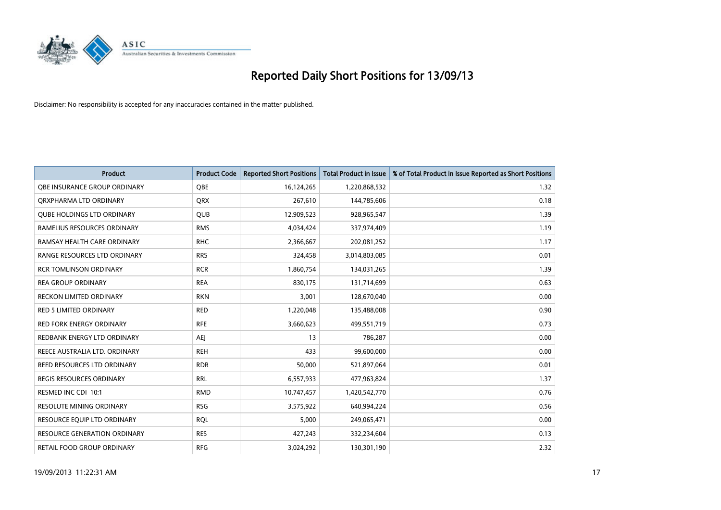

| <b>Product</b>                      | <b>Product Code</b> | <b>Reported Short Positions</b> | <b>Total Product in Issue</b> | % of Total Product in Issue Reported as Short Positions |
|-------------------------------------|---------------------|---------------------------------|-------------------------------|---------------------------------------------------------|
| OBE INSURANCE GROUP ORDINARY        | <b>OBE</b>          | 16,124,265                      | 1,220,868,532                 | 1.32                                                    |
| ORXPHARMA LTD ORDINARY              | QRX                 | 267,610                         | 144,785,606                   | 0.18                                                    |
| <b>QUBE HOLDINGS LTD ORDINARY</b>   | QUB                 | 12,909,523                      | 928,965,547                   | 1.39                                                    |
| RAMELIUS RESOURCES ORDINARY         | <b>RMS</b>          | 4,034,424                       | 337,974,409                   | 1.19                                                    |
| RAMSAY HEALTH CARE ORDINARY         | <b>RHC</b>          | 2,366,667                       | 202,081,252                   | 1.17                                                    |
| RANGE RESOURCES LTD ORDINARY        | <b>RRS</b>          | 324,458                         | 3,014,803,085                 | 0.01                                                    |
| <b>RCR TOMLINSON ORDINARY</b>       | <b>RCR</b>          | 1,860,754                       | 134,031,265                   | 1.39                                                    |
| <b>REA GROUP ORDINARY</b>           | <b>REA</b>          | 830,175                         | 131,714,699                   | 0.63                                                    |
| RECKON LIMITED ORDINARY             | <b>RKN</b>          | 3,001                           | 128,670,040                   | 0.00                                                    |
| <b>RED 5 LIMITED ORDINARY</b>       | <b>RED</b>          | 1,220,048                       | 135,488,008                   | 0.90                                                    |
| <b>RED FORK ENERGY ORDINARY</b>     | <b>RFE</b>          | 3,660,623                       | 499,551,719                   | 0.73                                                    |
| REDBANK ENERGY LTD ORDINARY         | AEJ                 | 13                              | 786,287                       | 0.00                                                    |
| REECE AUSTRALIA LTD. ORDINARY       | <b>REH</b>          | 433                             | 99,600,000                    | 0.00                                                    |
| REED RESOURCES LTD ORDINARY         | <b>RDR</b>          | 50,000                          | 521,897,064                   | 0.01                                                    |
| <b>REGIS RESOURCES ORDINARY</b>     | <b>RRL</b>          | 6,557,933                       | 477,963,824                   | 1.37                                                    |
| RESMED INC CDI 10:1                 | <b>RMD</b>          | 10,747,457                      | 1,420,542,770                 | 0.76                                                    |
| RESOLUTE MINING ORDINARY            | <b>RSG</b>          | 3,575,922                       | 640,994,224                   | 0.56                                                    |
| RESOURCE EQUIP LTD ORDINARY         | <b>RQL</b>          | 5,000                           | 249,065,471                   | 0.00                                                    |
| <b>RESOURCE GENERATION ORDINARY</b> | <b>RES</b>          | 427,243                         | 332,234,604                   | 0.13                                                    |
| RETAIL FOOD GROUP ORDINARY          | <b>RFG</b>          | 3,024,292                       | 130,301,190                   | 2.32                                                    |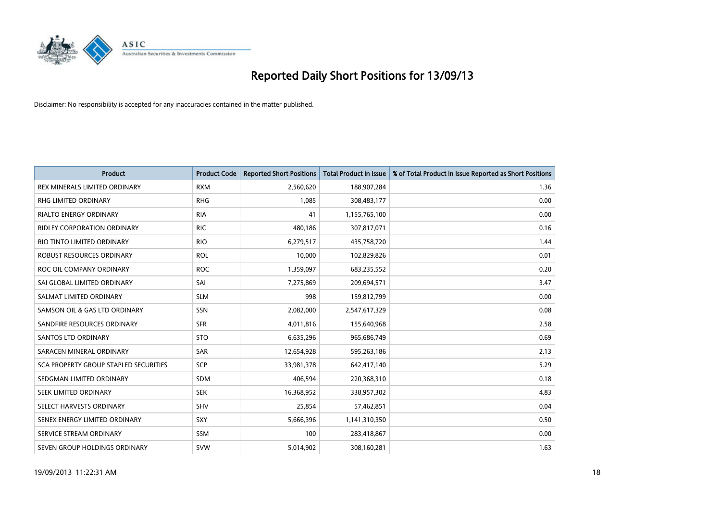

| Product                                      | <b>Product Code</b> | <b>Reported Short Positions</b> | <b>Total Product in Issue</b> | % of Total Product in Issue Reported as Short Positions |
|----------------------------------------------|---------------------|---------------------------------|-------------------------------|---------------------------------------------------------|
| REX MINERALS LIMITED ORDINARY                | <b>RXM</b>          | 2,560,620                       | 188,907,284                   | 1.36                                                    |
| <b>RHG LIMITED ORDINARY</b>                  | <b>RHG</b>          | 1,085                           | 308,483,177                   | 0.00                                                    |
| <b>RIALTO ENERGY ORDINARY</b>                | <b>RIA</b>          | 41                              | 1,155,765,100                 | 0.00                                                    |
| <b>RIDLEY CORPORATION ORDINARY</b>           | <b>RIC</b>          | 480,186                         | 307,817,071                   | 0.16                                                    |
| RIO TINTO LIMITED ORDINARY                   | <b>RIO</b>          | 6,279,517                       | 435,758,720                   | 1.44                                                    |
| <b>ROBUST RESOURCES ORDINARY</b>             | <b>ROL</b>          | 10,000                          | 102,829,826                   | 0.01                                                    |
| ROC OIL COMPANY ORDINARY                     | <b>ROC</b>          | 1,359,097                       | 683,235,552                   | 0.20                                                    |
| SAI GLOBAL LIMITED ORDINARY                  | SAI                 | 7,275,869                       | 209,694,571                   | 3.47                                                    |
| SALMAT LIMITED ORDINARY                      | <b>SLM</b>          | 998                             | 159,812,799                   | 0.00                                                    |
| SAMSON OIL & GAS LTD ORDINARY                | <b>SSN</b>          | 2,082,000                       | 2,547,617,329                 | 0.08                                                    |
| SANDFIRE RESOURCES ORDINARY                  | <b>SFR</b>          | 4,011,816                       | 155,640,968                   | 2.58                                                    |
| <b>SANTOS LTD ORDINARY</b>                   | <b>STO</b>          | 6,635,296                       | 965,686,749                   | 0.69                                                    |
| SARACEN MINERAL ORDINARY                     | <b>SAR</b>          | 12,654,928                      | 595,263,186                   | 2.13                                                    |
| <b>SCA PROPERTY GROUP STAPLED SECURITIES</b> | <b>SCP</b>          | 33,981,378                      | 642,417,140                   | 5.29                                                    |
| SEDGMAN LIMITED ORDINARY                     | <b>SDM</b>          | 406,594                         | 220,368,310                   | 0.18                                                    |
| SEEK LIMITED ORDINARY                        | <b>SEK</b>          | 16,368,952                      | 338,957,302                   | 4.83                                                    |
| SELECT HARVESTS ORDINARY                     | SHV                 | 25,854                          | 57,462,851                    | 0.04                                                    |
| SENEX ENERGY LIMITED ORDINARY                | SXY                 | 5,666,396                       | 1,141,310,350                 | 0.50                                                    |
| SERVICE STREAM ORDINARY                      | <b>SSM</b>          | 100                             | 283,418,867                   | 0.00                                                    |
| SEVEN GROUP HOLDINGS ORDINARY                | <b>SVW</b>          | 5,014,902                       | 308,160,281                   | 1.63                                                    |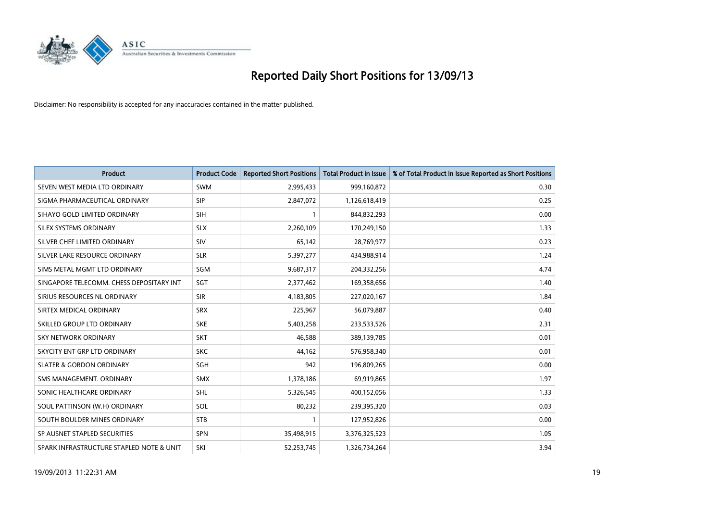

| <b>Product</b>                           | <b>Product Code</b> | <b>Reported Short Positions</b> | <b>Total Product in Issue</b> | % of Total Product in Issue Reported as Short Positions |
|------------------------------------------|---------------------|---------------------------------|-------------------------------|---------------------------------------------------------|
| SEVEN WEST MEDIA LTD ORDINARY            | <b>SWM</b>          | 2,995,433                       | 999,160,872                   | 0.30                                                    |
| SIGMA PHARMACEUTICAL ORDINARY            | <b>SIP</b>          | 2,847,072                       | 1,126,618,419                 | 0.25                                                    |
| SIHAYO GOLD LIMITED ORDINARY             | <b>SIH</b>          | 1                               | 844,832,293                   | 0.00                                                    |
| SILEX SYSTEMS ORDINARY                   | <b>SLX</b>          | 2,260,109                       | 170,249,150                   | 1.33                                                    |
| SILVER CHEF LIMITED ORDINARY             | SIV                 | 65,142                          | 28,769,977                    | 0.23                                                    |
| SILVER LAKE RESOURCE ORDINARY            | <b>SLR</b>          | 5,397,277                       | 434,988,914                   | 1.24                                                    |
| SIMS METAL MGMT LTD ORDINARY             | SGM                 | 9,687,317                       | 204,332,256                   | 4.74                                                    |
| SINGAPORE TELECOMM. CHESS DEPOSITARY INT | SGT                 | 2,377,462                       | 169,358,656                   | 1.40                                                    |
| SIRIUS RESOURCES NL ORDINARY             | <b>SIR</b>          | 4,183,805                       | 227,020,167                   | 1.84                                                    |
| SIRTEX MEDICAL ORDINARY                  | <b>SRX</b>          | 225,967                         | 56,079,887                    | 0.40                                                    |
| SKILLED GROUP LTD ORDINARY               | <b>SKE</b>          | 5,403,258                       | 233,533,526                   | 2.31                                                    |
| <b>SKY NETWORK ORDINARY</b>              | <b>SKT</b>          | 46,588                          | 389,139,785                   | 0.01                                                    |
| SKYCITY ENT GRP LTD ORDINARY             | <b>SKC</b>          | 44,162                          | 576,958,340                   | 0.01                                                    |
| <b>SLATER &amp; GORDON ORDINARY</b>      | <b>SGH</b>          | 942                             | 196,809,265                   | 0.00                                                    |
| SMS MANAGEMENT, ORDINARY                 | <b>SMX</b>          | 1,378,186                       | 69,919,865                    | 1.97                                                    |
| SONIC HEALTHCARE ORDINARY                | <b>SHL</b>          | 5,326,545                       | 400,152,056                   | 1.33                                                    |
| SOUL PATTINSON (W.H) ORDINARY            | SOL                 | 80,232                          | 239,395,320                   | 0.03                                                    |
| SOUTH BOULDER MINES ORDINARY             | <b>STB</b>          | 1                               | 127,952,826                   | 0.00                                                    |
| SP AUSNET STAPLED SECURITIES             | <b>SPN</b>          | 35,498,915                      | 3,376,325,523                 | 1.05                                                    |
| SPARK INFRASTRUCTURE STAPLED NOTE & UNIT | SKI                 | 52.253.745                      | 1,326,734,264                 | 3.94                                                    |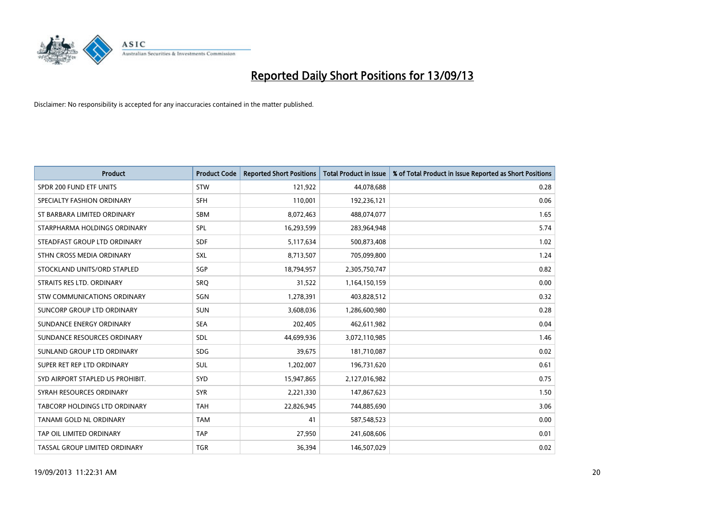

| <b>Product</b>                   | <b>Product Code</b> | <b>Reported Short Positions</b> | <b>Total Product in Issue</b> | % of Total Product in Issue Reported as Short Positions |
|----------------------------------|---------------------|---------------------------------|-------------------------------|---------------------------------------------------------|
| SPDR 200 FUND ETF UNITS          | <b>STW</b>          | 121,922                         | 44,078,688                    | 0.28                                                    |
| SPECIALTY FASHION ORDINARY       | <b>SFH</b>          | 110,001                         | 192,236,121                   | 0.06                                                    |
| ST BARBARA LIMITED ORDINARY      | <b>SBM</b>          | 8,072,463                       | 488,074,077                   | 1.65                                                    |
| STARPHARMA HOLDINGS ORDINARY     | SPL                 | 16,293,599                      | 283,964,948                   | 5.74                                                    |
| STEADFAST GROUP LTD ORDINARY     | <b>SDF</b>          | 5,117,634                       | 500,873,408                   | 1.02                                                    |
| STHN CROSS MEDIA ORDINARY        | <b>SXL</b>          | 8,713,507                       | 705,099,800                   | 1.24                                                    |
| STOCKLAND UNITS/ORD STAPLED      | <b>SGP</b>          | 18,794,957                      | 2,305,750,747                 | 0.82                                                    |
| STRAITS RES LTD. ORDINARY        | <b>SRO</b>          | 31,522                          | 1,164,150,159                 | 0.00                                                    |
| STW COMMUNICATIONS ORDINARY      | SGN                 | 1,278,391                       | 403,828,512                   | 0.32                                                    |
| SUNCORP GROUP LTD ORDINARY       | <b>SUN</b>          | 3,608,036                       | 1,286,600,980                 | 0.28                                                    |
| SUNDANCE ENERGY ORDINARY         | <b>SEA</b>          | 202,405                         | 462,611,982                   | 0.04                                                    |
| SUNDANCE RESOURCES ORDINARY      | <b>SDL</b>          | 44,699,936                      | 3,072,110,985                 | 1.46                                                    |
| SUNLAND GROUP LTD ORDINARY       | <b>SDG</b>          | 39,675                          | 181,710,087                   | 0.02                                                    |
| SUPER RET REP LTD ORDINARY       | SUL                 | 1,202,007                       | 196,731,620                   | 0.61                                                    |
| SYD AIRPORT STAPLED US PROHIBIT. | SYD                 | 15,947,865                      | 2,127,016,982                 | 0.75                                                    |
| SYRAH RESOURCES ORDINARY         | <b>SYR</b>          | 2,221,330                       | 147,867,623                   | 1.50                                                    |
| TABCORP HOLDINGS LTD ORDINARY    | <b>TAH</b>          | 22,826,945                      | 744,885,690                   | 3.06                                                    |
| <b>TANAMI GOLD NL ORDINARY</b>   | <b>TAM</b>          | 41                              | 587,548,523                   | 0.00                                                    |
| TAP OIL LIMITED ORDINARY         | <b>TAP</b>          | 27,950                          | 241,608,606                   | 0.01                                                    |
| TASSAL GROUP LIMITED ORDINARY    | <b>TGR</b>          | 36,394                          | 146,507,029                   | 0.02                                                    |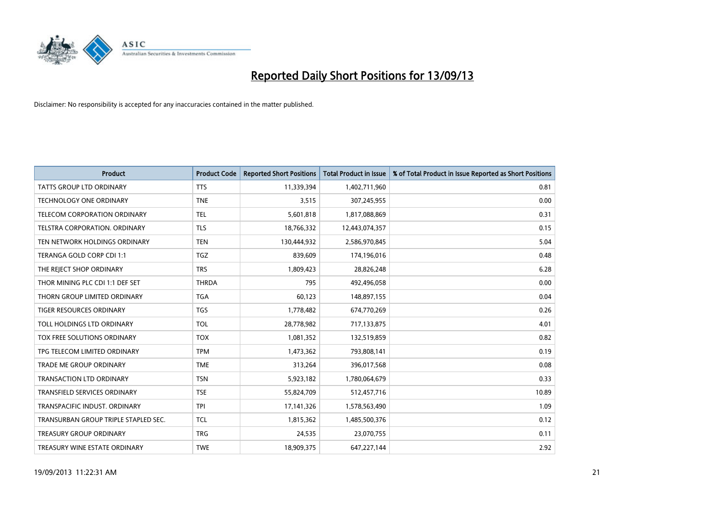

| <b>Product</b>                       | <b>Product Code</b> | <b>Reported Short Positions</b> | <b>Total Product in Issue</b> | % of Total Product in Issue Reported as Short Positions |
|--------------------------------------|---------------------|---------------------------------|-------------------------------|---------------------------------------------------------|
| <b>TATTS GROUP LTD ORDINARY</b>      | <b>TTS</b>          | 11,339,394                      | 1,402,711,960                 | 0.81                                                    |
| TECHNOLOGY ONE ORDINARY              | <b>TNE</b>          | 3,515                           | 307,245,955                   | 0.00                                                    |
| <b>TELECOM CORPORATION ORDINARY</b>  | <b>TEL</b>          | 5,601,818                       | 1,817,088,869                 | 0.31                                                    |
| TELSTRA CORPORATION. ORDINARY        | <b>TLS</b>          | 18,766,332                      | 12,443,074,357                | 0.15                                                    |
| TEN NETWORK HOLDINGS ORDINARY        | <b>TEN</b>          | 130,444,932                     | 2,586,970,845                 | 5.04                                                    |
| TERANGA GOLD CORP CDI 1:1            | <b>TGZ</b>          | 839,609                         | 174,196,016                   | 0.48                                                    |
| THE REJECT SHOP ORDINARY             | <b>TRS</b>          | 1,809,423                       | 28,826,248                    | 6.28                                                    |
| THOR MINING PLC CDI 1:1 DEF SET      | <b>THRDA</b>        | 795                             | 492,496,058                   | 0.00                                                    |
| THORN GROUP LIMITED ORDINARY         | <b>TGA</b>          | 60,123                          | 148,897,155                   | 0.04                                                    |
| <b>TIGER RESOURCES ORDINARY</b>      | <b>TGS</b>          | 1,778,482                       | 674,770,269                   | 0.26                                                    |
| TOLL HOLDINGS LTD ORDINARY           | <b>TOL</b>          | 28,778,982                      | 717,133,875                   | 4.01                                                    |
| TOX FREE SOLUTIONS ORDINARY          | <b>TOX</b>          | 1,081,352                       | 132,519,859                   | 0.82                                                    |
| TPG TELECOM LIMITED ORDINARY         | <b>TPM</b>          | 1,473,362                       | 793,808,141                   | 0.19                                                    |
| <b>TRADE ME GROUP ORDINARY</b>       | <b>TME</b>          | 313,264                         | 396,017,568                   | 0.08                                                    |
| <b>TRANSACTION LTD ORDINARY</b>      | <b>TSN</b>          | 5,923,182                       | 1,780,064,679                 | 0.33                                                    |
| TRANSFIELD SERVICES ORDINARY         | <b>TSE</b>          | 55,824,709                      | 512,457,716                   | 10.89                                                   |
| TRANSPACIFIC INDUST. ORDINARY        | <b>TPI</b>          | 17, 141, 326                    | 1,578,563,490                 | 1.09                                                    |
| TRANSURBAN GROUP TRIPLE STAPLED SEC. | <b>TCL</b>          | 1,815,362                       | 1,485,500,376                 | 0.12                                                    |
| <b>TREASURY GROUP ORDINARY</b>       | <b>TRG</b>          | 24,535                          | 23,070,755                    | 0.11                                                    |
| TREASURY WINE ESTATE ORDINARY        | <b>TWE</b>          | 18,909,375                      | 647,227,144                   | 2.92                                                    |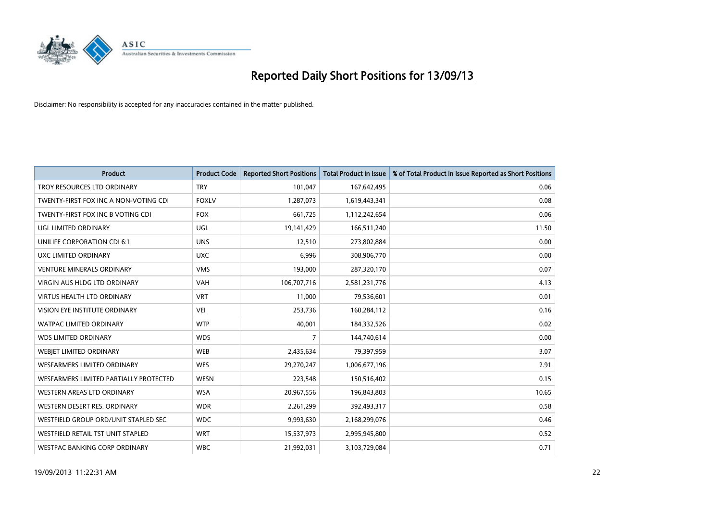

| <b>Product</b>                         | <b>Product Code</b> | <b>Reported Short Positions</b> | <b>Total Product in Issue</b> | % of Total Product in Issue Reported as Short Positions |
|----------------------------------------|---------------------|---------------------------------|-------------------------------|---------------------------------------------------------|
| TROY RESOURCES LTD ORDINARY            | <b>TRY</b>          | 101,047                         | 167,642,495                   | 0.06                                                    |
| TWENTY-FIRST FOX INC A NON-VOTING CDI  | <b>FOXLV</b>        | 1,287,073                       | 1,619,443,341                 | 0.08                                                    |
| TWENTY-FIRST FOX INC B VOTING CDI      | <b>FOX</b>          | 661,725                         | 1,112,242,654                 | 0.06                                                    |
| UGL LIMITED ORDINARY                   | <b>UGL</b>          | 19,141,429                      | 166,511,240                   | 11.50                                                   |
| UNILIFE CORPORATION CDI 6:1            | <b>UNS</b>          | 12,510                          | 273,802,884                   | 0.00                                                    |
| UXC LIMITED ORDINARY                   | <b>UXC</b>          | 6,996                           | 308,906,770                   | 0.00                                                    |
| <b>VENTURE MINERALS ORDINARY</b>       | <b>VMS</b>          | 193,000                         | 287,320,170                   | 0.07                                                    |
| <b>VIRGIN AUS HLDG LTD ORDINARY</b>    | <b>VAH</b>          | 106,707,716                     | 2,581,231,776                 | 4.13                                                    |
| <b>VIRTUS HEALTH LTD ORDINARY</b>      | <b>VRT</b>          | 11,000                          | 79,536,601                    | 0.01                                                    |
| VISION EYE INSTITUTE ORDINARY          | <b>VEI</b>          | 253,736                         | 160,284,112                   | 0.16                                                    |
| <b>WATPAC LIMITED ORDINARY</b>         | <b>WTP</b>          | 40,001                          | 184,332,526                   | 0.02                                                    |
| <b>WDS LIMITED ORDINARY</b>            | <b>WDS</b>          | $\overline{7}$                  | 144,740,614                   | 0.00                                                    |
| WEBJET LIMITED ORDINARY                | <b>WEB</b>          | 2,435,634                       | 79,397,959                    | 3.07                                                    |
| <b>WESFARMERS LIMITED ORDINARY</b>     | <b>WES</b>          | 29,270,247                      | 1,006,677,196                 | 2.91                                                    |
| WESFARMERS LIMITED PARTIALLY PROTECTED | <b>WESN</b>         | 223,548                         | 150,516,402                   | 0.15                                                    |
| WESTERN AREAS LTD ORDINARY             | <b>WSA</b>          | 20,967,556                      | 196,843,803                   | 10.65                                                   |
| WESTERN DESERT RES. ORDINARY           | <b>WDR</b>          | 2,261,299                       | 392,493,317                   | 0.58                                                    |
| WESTFIELD GROUP ORD/UNIT STAPLED SEC   | <b>WDC</b>          | 9,993,630                       | 2,168,299,076                 | 0.46                                                    |
| WESTFIELD RETAIL TST UNIT STAPLED      | <b>WRT</b>          | 15,537,973                      | 2,995,945,800                 | 0.52                                                    |
| WESTPAC BANKING CORP ORDINARY          | <b>WBC</b>          | 21,992,031                      | 3,103,729,084                 | 0.71                                                    |